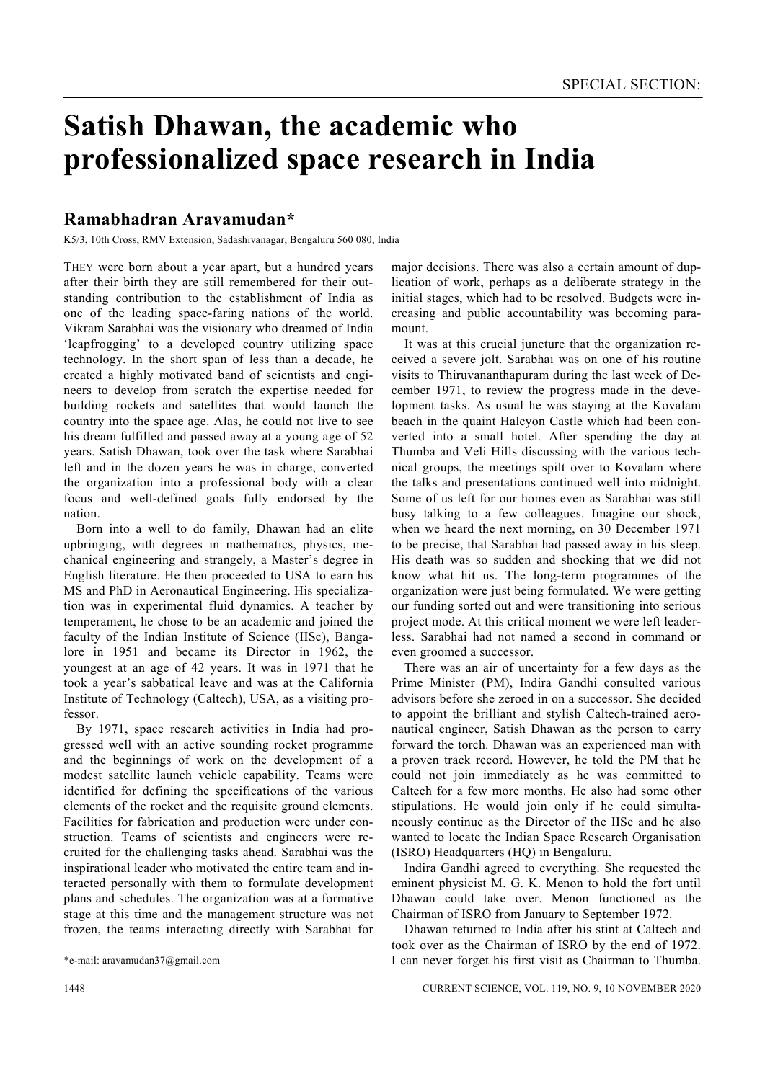## **Satish Dhawan, the academic who professionalized space research in India**

## **Ramabhadran Aravamudan\***

K5/3, 10th Cross, RMV Extension, Sadashivanagar, Bengaluru 560 080, India

THEY were born about a year apart, but a hundred years after their birth they are still remembered for their outstanding contribution to the establishment of India as one of the leading space-faring nations of the world. Vikram Sarabhai was the visionary who dreamed of India 'leapfrogging' to a developed country utilizing space technology. In the short span of less than a decade, he created a highly motivated band of scientists and engineers to develop from scratch the expertise needed for building rockets and satellites that would launch the country into the space age. Alas, he could not live to see his dream fulfilled and passed away at a young age of 52 years. Satish Dhawan, took over the task where Sarabhai left and in the dozen years he was in charge, converted the organization into a professional body with a clear focus and well-defined goals fully endorsed by the nation.

 Born into a well to do family, Dhawan had an elite upbringing, with degrees in mathematics, physics, mechanical engineering and strangely, a Master's degree in English literature. He then proceeded to USA to earn his MS and PhD in Aeronautical Engineering. His specialization was in experimental fluid dynamics. A teacher by temperament, he chose to be an academic and joined the faculty of the Indian Institute of Science (IISc), Bangalore in 1951 and became its Director in 1962, the youngest at an age of 42 years. It was in 1971 that he took a year's sabbatical leave and was at the California Institute of Technology (Caltech), USA, as a visiting professor.

 By 1971, space research activities in India had progressed well with an active sounding rocket programme and the beginnings of work on the development of a modest satellite launch vehicle capability. Teams were identified for defining the specifications of the various elements of the rocket and the requisite ground elements. Facilities for fabrication and production were under construction. Teams of scientists and engineers were recruited for the challenging tasks ahead. Sarabhai was the inspirational leader who motivated the entire team and interacted personally with them to formulate development plans and schedules. The organization was at a formative stage at this time and the management structure was not frozen, the teams interacting directly with Sarabhai for

major decisions. There was also a certain amount of duplication of work, perhaps as a deliberate strategy in the initial stages, which had to be resolved. Budgets were increasing and public accountability was becoming paramount.

 It was at this crucial juncture that the organization received a severe jolt. Sarabhai was on one of his routine visits to Thiruvananthapuram during the last week of December 1971, to review the progress made in the development tasks. As usual he was staying at the Kovalam beach in the quaint Halcyon Castle which had been converted into a small hotel. After spending the day at Thumba and Veli Hills discussing with the various technical groups, the meetings spilt over to Kovalam where the talks and presentations continued well into midnight. Some of us left for our homes even as Sarabhai was still busy talking to a few colleagues. Imagine our shock, when we heard the next morning, on 30 December 1971 to be precise, that Sarabhai had passed away in his sleep. His death was so sudden and shocking that we did not know what hit us. The long-term programmes of the organization were just being formulated. We were getting our funding sorted out and were transitioning into serious project mode. At this critical moment we were left leaderless. Sarabhai had not named a second in command or even groomed a successor.

 There was an air of uncertainty for a few days as the Prime Minister (PM), Indira Gandhi consulted various advisors before she zeroed in on a successor. She decided to appoint the brilliant and stylish Caltech-trained aeronautical engineer, Satish Dhawan as the person to carry forward the torch. Dhawan was an experienced man with a proven track record. However, he told the PM that he could not join immediately as he was committed to Caltech for a few more months. He also had some other stipulations. He would join only if he could simultaneously continue as the Director of the IISc and he also wanted to locate the Indian Space Research Organisation (ISRO) Headquarters (HQ) in Bengaluru.

 Indira Gandhi agreed to everything. She requested the eminent physicist M. G. K. Menon to hold the fort until Dhawan could take over. Menon functioned as the Chairman of ISRO from January to September 1972.

 Dhawan returned to India after his stint at Caltech and took over as the Chairman of ISRO by the end of 1972. I can never forget his first visit as Chairman to Thumba.

<sup>\*</sup>e-mail: aravamudan37@gmail.com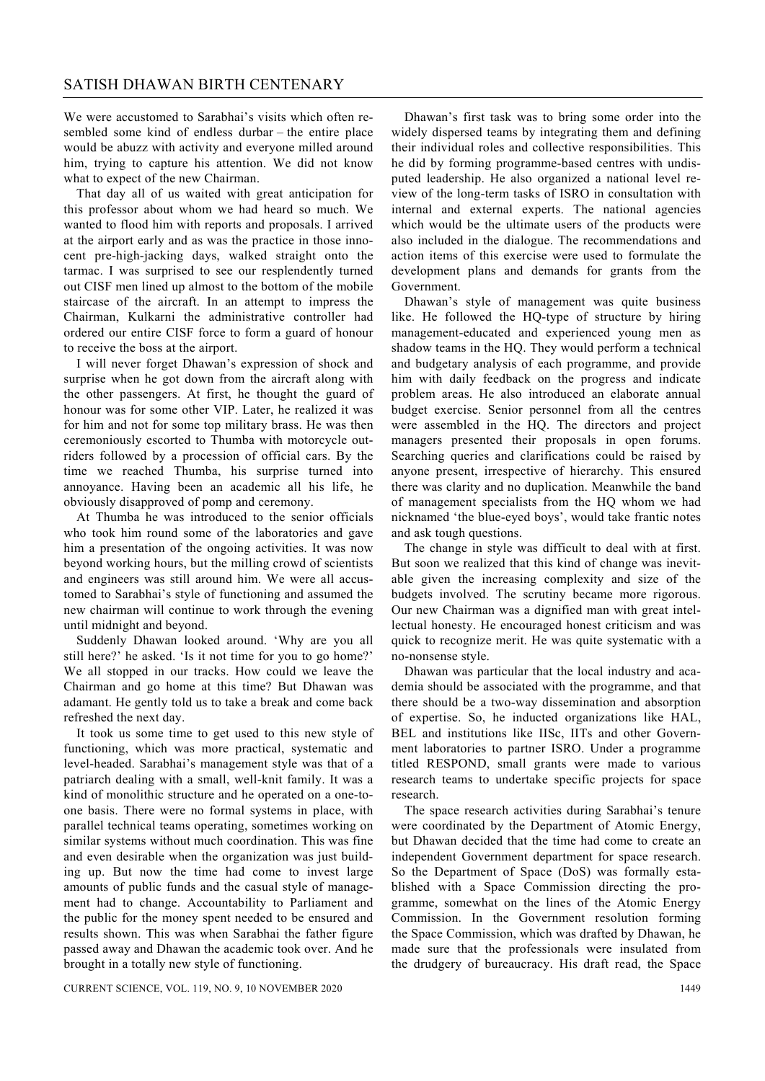We were accustomed to Sarabhai's visits which often resembled some kind of endless durbar – the entire place would be abuzz with activity and everyone milled around him, trying to capture his attention. We did not know what to expect of the new Chairman.

 That day all of us waited with great anticipation for this professor about whom we had heard so much. We wanted to flood him with reports and proposals. I arrived at the airport early and as was the practice in those innocent pre-high-jacking days, walked straight onto the tarmac. I was surprised to see our resplendently turned out CISF men lined up almost to the bottom of the mobile staircase of the aircraft. In an attempt to impress the Chairman, Kulkarni the administrative controller had ordered our entire CISF force to form a guard of honour to receive the boss at the airport.

 I will never forget Dhawan's expression of shock and surprise when he got down from the aircraft along with the other passengers. At first, he thought the guard of honour was for some other VIP. Later, he realized it was for him and not for some top military brass. He was then ceremoniously escorted to Thumba with motorcycle outriders followed by a procession of official cars. By the time we reached Thumba, his surprise turned into annoyance. Having been an academic all his life, he obviously disapproved of pomp and ceremony.

 At Thumba he was introduced to the senior officials who took him round some of the laboratories and gave him a presentation of the ongoing activities. It was now beyond working hours, but the milling crowd of scientists and engineers was still around him. We were all accustomed to Sarabhai's style of functioning and assumed the new chairman will continue to work through the evening until midnight and beyond.

 Suddenly Dhawan looked around. 'Why are you all still here?' he asked. 'Is it not time for you to go home?' We all stopped in our tracks. How could we leave the Chairman and go home at this time? But Dhawan was adamant. He gently told us to take a break and come back refreshed the next day.

 It took us some time to get used to this new style of functioning, which was more practical, systematic and level-headed. Sarabhai's management style was that of a patriarch dealing with a small, well-knit family. It was a kind of monolithic structure and he operated on a one-toone basis. There were no formal systems in place, with parallel technical teams operating, sometimes working on similar systems without much coordination. This was fine and even desirable when the organization was just building up. But now the time had come to invest large amounts of public funds and the casual style of management had to change. Accountability to Parliament and the public for the money spent needed to be ensured and results shown. This was when Sarabhai the father figure passed away and Dhawan the academic took over. And he brought in a totally new style of functioning.

 Dhawan's first task was to bring some order into the widely dispersed teams by integrating them and defining their individual roles and collective responsibilities. This he did by forming programme-based centres with undisputed leadership. He also organized a national level review of the long-term tasks of ISRO in consultation with internal and external experts. The national agencies which would be the ultimate users of the products were also included in the dialogue. The recommendations and action items of this exercise were used to formulate the development plans and demands for grants from the Government.

 Dhawan's style of management was quite business like. He followed the HQ-type of structure by hiring management-educated and experienced young men as shadow teams in the HQ. They would perform a technical and budgetary analysis of each programme, and provide him with daily feedback on the progress and indicate problem areas. He also introduced an elaborate annual budget exercise. Senior personnel from all the centres were assembled in the HQ. The directors and project managers presented their proposals in open forums. Searching queries and clarifications could be raised by anyone present, irrespective of hierarchy. This ensured there was clarity and no duplication. Meanwhile the band of management specialists from the HQ whom we had nicknamed 'the blue-eyed boys', would take frantic notes and ask tough questions.

 The change in style was difficult to deal with at first. But soon we realized that this kind of change was inevitable given the increasing complexity and size of the budgets involved. The scrutiny became more rigorous. Our new Chairman was a dignified man with great intellectual honesty. He encouraged honest criticism and was quick to recognize merit. He was quite systematic with a no-nonsense style.

 Dhawan was particular that the local industry and academia should be associated with the programme, and that there should be a two-way dissemination and absorption of expertise. So, he inducted organizations like HAL, BEL and institutions like IISc, IITs and other Government laboratories to partner ISRO. Under a programme titled RESPOND, small grants were made to various research teams to undertake specific projects for space research.

 The space research activities during Sarabhai's tenure were coordinated by the Department of Atomic Energy, but Dhawan decided that the time had come to create an independent Government department for space research. So the Department of Space (DoS) was formally established with a Space Commission directing the programme, somewhat on the lines of the Atomic Energy Commission. In the Government resolution forming the Space Commission, which was drafted by Dhawan, he made sure that the professionals were insulated from the drudgery of bureaucracy. His draft read, the Space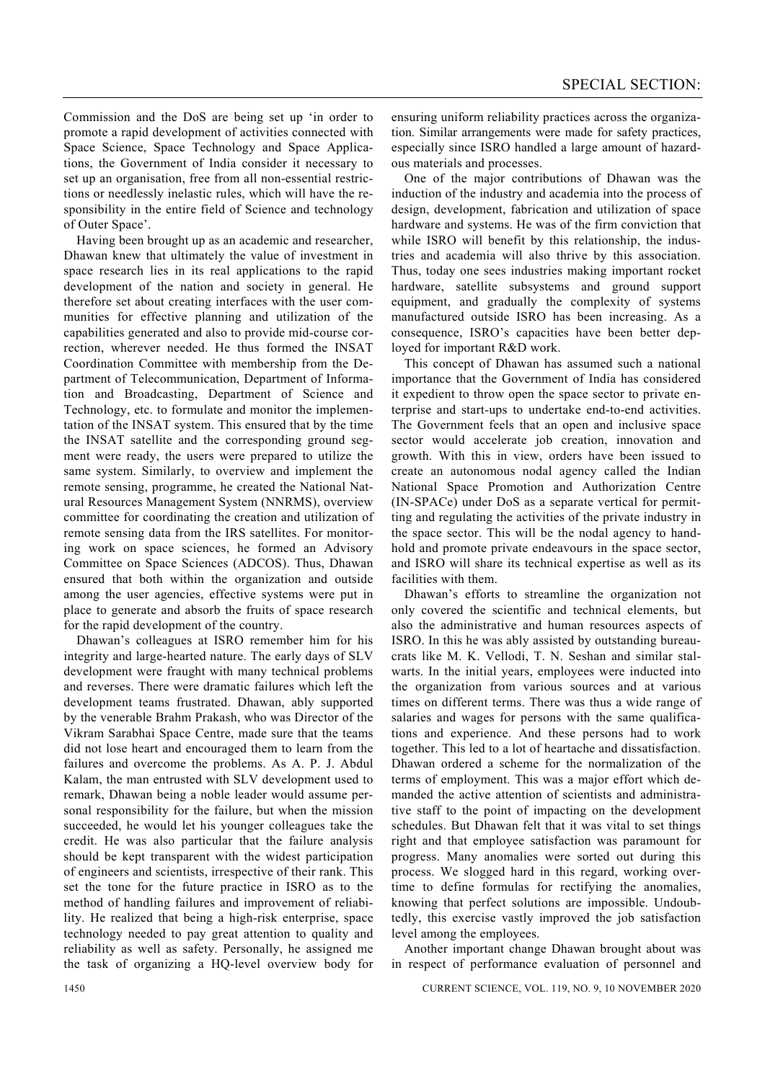Commission and the DoS are being set up 'in order to promote a rapid development of activities connected with Space Science, Space Technology and Space Applications, the Government of India consider it necessary to set up an organisation, free from all non-essential restrictions or needlessly inelastic rules, which will have the responsibility in the entire field of Science and technology of Outer Space'.

 Having been brought up as an academic and researcher, Dhawan knew that ultimately the value of investment in space research lies in its real applications to the rapid development of the nation and society in general. He therefore set about creating interfaces with the user communities for effective planning and utilization of the capabilities generated and also to provide mid-course correction, wherever needed. He thus formed the INSAT Coordination Committee with membership from the Department of Telecommunication, Department of Information and Broadcasting, Department of Science and Technology, etc. to formulate and monitor the implementation of the INSAT system. This ensured that by the time the INSAT satellite and the corresponding ground segment were ready, the users were prepared to utilize the same system. Similarly, to overview and implement the remote sensing, programme, he created the National Natural Resources Management System (NNRMS), overview committee for coordinating the creation and utilization of remote sensing data from the IRS satellites. For monitoring work on space sciences, he formed an Advisory Committee on Space Sciences (ADCOS). Thus, Dhawan ensured that both within the organization and outside among the user agencies, effective systems were put in place to generate and absorb the fruits of space research for the rapid development of the country.

 Dhawan's colleagues at ISRO remember him for his integrity and large-hearted nature. The early days of SLV development were fraught with many technical problems and reverses. There were dramatic failures which left the development teams frustrated. Dhawan, ably supported by the venerable Brahm Prakash, who was Director of the Vikram Sarabhai Space Centre, made sure that the teams did not lose heart and encouraged them to learn from the failures and overcome the problems. As A. P. J. Abdul Kalam, the man entrusted with SLV development used to remark, Dhawan being a noble leader would assume personal responsibility for the failure, but when the mission succeeded, he would let his younger colleagues take the credit. He was also particular that the failure analysis should be kept transparent with the widest participation of engineers and scientists, irrespective of their rank. This set the tone for the future practice in ISRO as to the method of handling failures and improvement of reliability. He realized that being a high-risk enterprise, space technology needed to pay great attention to quality and reliability as well as safety. Personally, he assigned me the task of organizing a HQ-level overview body for ensuring uniform reliability practices across the organization. Similar arrangements were made for safety practices, especially since ISRO handled a large amount of hazardous materials and processes.

 One of the major contributions of Dhawan was the induction of the industry and academia into the process of design, development, fabrication and utilization of space hardware and systems. He was of the firm conviction that while ISRO will benefit by this relationship, the industries and academia will also thrive by this association. Thus, today one sees industries making important rocket hardware, satellite subsystems and ground support equipment, and gradually the complexity of systems manufactured outside ISRO has been increasing. As a consequence, ISRO's capacities have been better deployed for important R&D work.

 This concept of Dhawan has assumed such a national importance that the Government of India has considered it expedient to throw open the space sector to private enterprise and start-ups to undertake end-to-end activities. The Government feels that an open and inclusive space sector would accelerate job creation, innovation and growth. With this in view, orders have been issued to create an autonomous nodal agency called the Indian National Space Promotion and Authorization Centre (IN-SPACe) under DoS as a separate vertical for permitting and regulating the activities of the private industry in the space sector. This will be the nodal agency to handhold and promote private endeavours in the space sector, and ISRO will share its technical expertise as well as its facilities with them.

 Dhawan's efforts to streamline the organization not only covered the scientific and technical elements, but also the administrative and human resources aspects of ISRO. In this he was ably assisted by outstanding bureaucrats like M. K. Vellodi, T. N. Seshan and similar stalwarts. In the initial years, employees were inducted into the organization from various sources and at various times on different terms. There was thus a wide range of salaries and wages for persons with the same qualifications and experience. And these persons had to work together. This led to a lot of heartache and dissatisfaction. Dhawan ordered a scheme for the normalization of the terms of employment. This was a major effort which demanded the active attention of scientists and administrative staff to the point of impacting on the development schedules. But Dhawan felt that it was vital to set things right and that employee satisfaction was paramount for progress. Many anomalies were sorted out during this process. We slogged hard in this regard, working overtime to define formulas for rectifying the anomalies, knowing that perfect solutions are impossible. Undoubtedly, this exercise vastly improved the job satisfaction level among the employees.

 Another important change Dhawan brought about was in respect of performance evaluation of personnel and